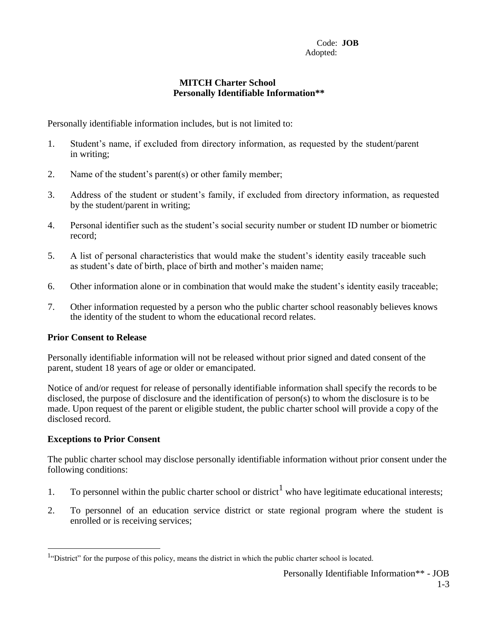## **MITCH Charter School Personally Identifiable Information\*\***

Personally identifiable information includes, but is not limited to:

- 1. Student's name, if excluded from directory information, as requested by the student/parent in writing;
- 2. Name of the student's parent(s) or other family member;
- 3. Address of the student or student's family, if excluded from directory information, as requested by the student/parent in writing;
- 4. Personal identifier such as the student's social security number or student ID number or biometric record;
- 5. A list of personal characteristics that would make the student's identity easily traceable such as student's date of birth, place of birth and mother's maiden name;
- 6. Other information alone or in combination that would make the student's identity easily traceable;
- 7. Other information requested by a person who the public charter school reasonably believes knows the identity of the student to whom the educational record relates.

## **Prior Consent to Release**

Personally identifiable information will not be released without prior signed and dated consent of the parent, student 18 years of age or older or emancipated.

Notice of and/or request for release of personally identifiable information shall specify the records to be disclosed, the purpose of disclosure and the identification of person(s) to whom the disclosure is to be made. Upon request of the parent or eligible student, the public charter school will provide a copy of the disclosed record.

## **Exceptions to Prior Consent**

The public charter school may disclose personally identifiable information without prior consent under the following conditions:

- 1. To personnel within the public charter school or district<sup>1</sup> who have legitimate educational interests;
- 2. To personnel of an education service district or state regional program where the student is enrolled or is receiving services;

<sup>&</sup>lt;sup>1</sup>"District" for the purpose of this policy, means the district in which the public charter school is located.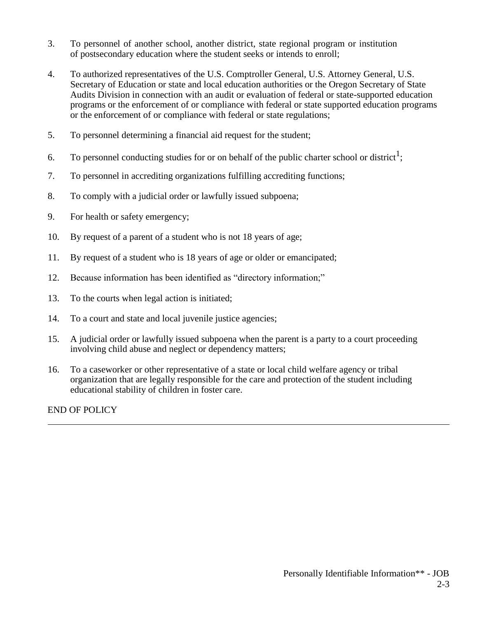- 3. To personnel of another school, another district, state regional program or institution of postsecondary education where the student seeks or intends to enroll;
- 4. To authorized representatives of the U.S. Comptroller General, U.S. Attorney General, U.S. Secretary of Education or state and local education authorities or the Oregon Secretary of State Audits Division in connection with an audit or evaluation of federal or state-supported education programs or the enforcement of or compliance with federal or state supported education programs or the enforcement of or compliance with federal or state regulations;
- 5. To personnel determining a financial aid request for the student;
- 6. To personnel conducting studies for or on behalf of the public charter school or district<sup>1</sup>;
- 7. To personnel in accrediting organizations fulfilling accrediting functions;
- 8. To comply with a judicial order or lawfully issued subpoena;
- 9. For health or safety emergency;
- 10. By request of a parent of a student who is not 18 years of age;
- 11. By request of a student who is 18 years of age or older or emancipated;
- 12. Because information has been identified as "directory information;"
- 13. To the courts when legal action is initiated;
- 14. To a court and state and local juvenile justice agencies;
- 15. A judicial order or lawfully issued subpoena when the parent is a party to a court proceeding involving child abuse and neglect or dependency matters;
- 16. To a caseworker or other representative of a state or local child welfare agency or tribal organization that are legally responsible for the care and protection of the student including educational stability of children in foster care.

END OF POLICY